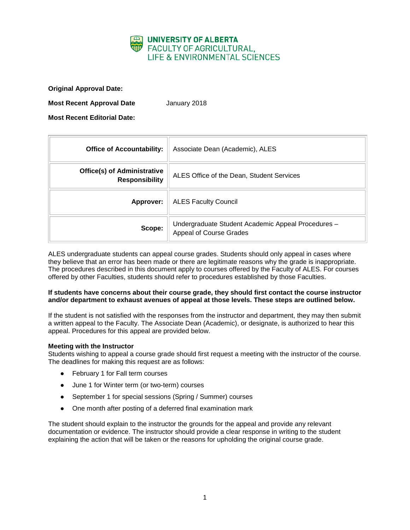

**Original Approval Date:**

**Most Recent Approval Date** January 2018

**Most Recent Editorial Date:**

| <b>Office of Accountability:</b>                            | Associate Dean (Academic), ALES                                                      |
|-------------------------------------------------------------|--------------------------------------------------------------------------------------|
| <b>Office(s) of Administrative</b><br><b>Responsibility</b> | ALES Office of the Dean, Student Services                                            |
| Approver:                                                   | <b>ALES Faculty Council</b>                                                          |
| Scope:                                                      | Undergraduate Student Academic Appeal Procedures -<br><b>Appeal of Course Grades</b> |

ALES undergraduate students can appeal course grades. Students should only appeal in cases where they believe that an error has been made or there are legitimate reasons why the grade is inappropriate. The procedures described in this document apply to courses offered by the Faculty of ALES. For courses offered by other Faculties, students should refer to procedures established by those Faculties.

## **If students have concerns about their course grade, they should first contact the course instructor and/or department to exhaust avenues of appeal at those levels. These steps are outlined below.**

If the student is not satisfied with the responses from the instructor and department, they may then submit a written appeal to the Faculty. The Associate Dean (Academic), or designate, is authorized to hear this appeal. Procedures for this appeal are provided below.

## **Meeting with the Instructor**

Students wishing to appeal a course grade should first request a meeting with the instructor of the course. The deadlines for making this request are as follows:

- February 1 for Fall term courses
- June 1 for Winter term (or two-term) courses
- September 1 for special sessions (Spring / Summer) courses
- One month after posting of a deferred final examination mark

The student should explain to the instructor the grounds for the appeal and provide any relevant documentation or evidence. The instructor should provide a clear response in writing to the student explaining the action that will be taken or the reasons for upholding the original course grade.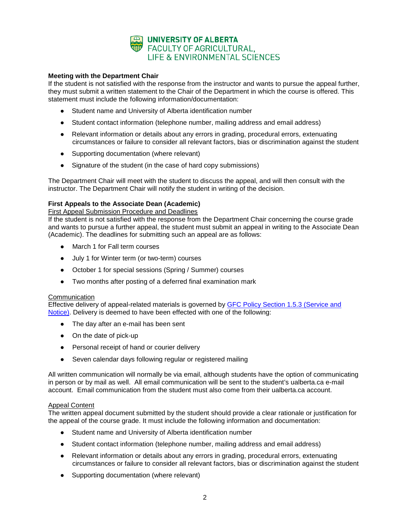

# **Meeting with the Department Chair**

If the student is not satisfied with the response from the instructor and wants to pursue the appeal further, they must submit a written statement to the Chair of the Department in which the course is offered. This statement must include the following information/documentation:

- Student name and University of Alberta identification number
- Student contact information (telephone number, mailing address and email address)
- Relevant information or details about any errors in grading, procedural errors, extenuating circumstances or failure to consider all relevant factors, bias or discrimination against the student
- Supporting documentation (where relevant)
- Signature of the student (in the case of hard copy submissions)

The Department Chair will meet with the student to discuss the appeal, and will then consult with the instructor. The Department Chair will notify the student in writing of the decision.

# **First Appeals to the Associate Dean (Academic)**

#### First Appeal Submission Procedure and Deadlines

If the student is not satisfied with the response from the Department Chair concerning the course grade and wants to pursue a further appeal, the student must submit an appeal in writing to the Associate Dean (Academic). The deadlines for submitting such an appeal are as follows:

- March 1 for Fall term courses
- July 1 for Winter term (or two-term) courses
- October 1 for special sessions (Spring / Summer) courses
- Two months after posting of a deferred final examination mark

## **Communication**

Effective delivery of appeal-related materials is governed by [GFC Policy Section 1.5.3 \(Service and](http://www.governance.ualberta.ca/StudentAppeals/AcademicAppealsPolicy/15AppealProcedures/153ServiceandNotice.aspx)  [Notice\).](http://www.governance.ualberta.ca/StudentAppeals/AcademicAppealsPolicy/15AppealProcedures/153ServiceandNotice.aspx) Delivery is deemed to have been effected with one of the following:

- The day after an e-mail has been sent
- On the date of pick-up
- Personal receipt of hand or courier delivery
- Seven calendar days following regular or registered mailing

All written communication will normally be via email, although students have the option of communicating in person or by mail as well. All email communication will be sent to the student's ualberta.ca e-mail account. Email communication from the student must also come from their ualberta.ca account.

## Appeal Content

The written appeal document submitted by the student should provide a clear rationale or justification for the appeal of the course grade. It must include the following information and documentation:

- Student name and University of Alberta identification number
- Student contact information (telephone number, mailing address and email address)
- Relevant information or details about any errors in grading, procedural errors, extenuating circumstances or failure to consider all relevant factors, bias or discrimination against the student
- Supporting documentation (where relevant)